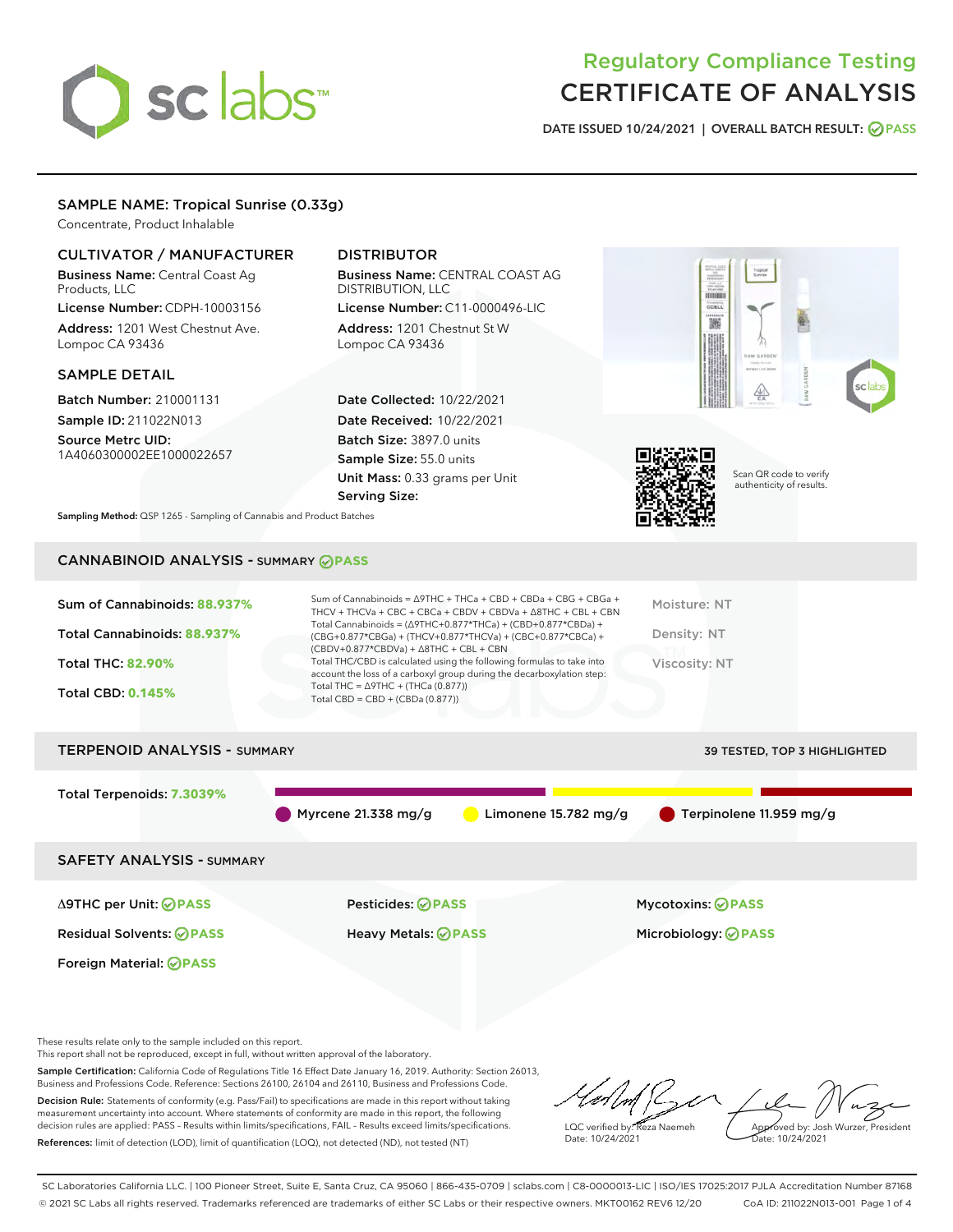# sclabs<sup>\*</sup>

# Regulatory Compliance Testing CERTIFICATE OF ANALYSIS

DATE ISSUED 10/24/2021 | OVERALL BATCH RESULT: @ PASS

# SAMPLE NAME: Tropical Sunrise (0.33g)

Concentrate, Product Inhalable

# CULTIVATOR / MANUFACTURER

Business Name: Central Coast Ag Products, LLC

License Number: CDPH-10003156 Address: 1201 West Chestnut Ave. Lompoc CA 93436

# SAMPLE DETAIL

Batch Number: 210001131 Sample ID: 211022N013

Source Metrc UID: 1A4060300002EE1000022657

# DISTRIBUTOR

Business Name: CENTRAL COAST AG DISTRIBUTION, LLC License Number: C11-0000496-LIC

Address: 1201 Chestnut St W Lompoc CA 93436

Date Collected: 10/22/2021 Date Received: 10/22/2021 Batch Size: 3897.0 units Sample Size: 55.0 units Unit Mass: 0.33 grams per Unit Serving Size:





Scan QR code to verify authenticity of results.

Sampling Method: QSP 1265 - Sampling of Cannabis and Product Batches

# CANNABINOID ANALYSIS - SUMMARY **PASS**

| Sum of Cannabinoids: 88.937%<br>Total Cannabinoids: 88.937%<br><b>Total THC: 82.90%</b><br><b>Total CBD: 0.145%</b> | Sum of Cannabinoids = $\triangle$ 9THC + THCa + CBD + CBDa + CBG + CBGa +<br>THCV + THCVa + CBC + CBCa + CBDV + CBDVa + $\Delta$ 8THC + CBL + CBN<br>Total Cannabinoids = $(\Delta$ 9THC+0.877*THCa) + (CBD+0.877*CBDa) +<br>(CBG+0.877*CBGa) + (THCV+0.877*THCVa) + (CBC+0.877*CBCa) +<br>$(CBDV+0.877*CBDVa) + \Delta 8THC + CBL + CBN$<br>Total THC/CBD is calculated using the following formulas to take into<br>account the loss of a carboxyl group during the decarboxylation step:<br>Total THC = $\triangle$ 9THC + (THCa (0.877))<br>Total CBD = $CBD + (CBDa (0.877))$ | Moisture: NT<br>Density: NT<br>Viscosity: NT |
|---------------------------------------------------------------------------------------------------------------------|------------------------------------------------------------------------------------------------------------------------------------------------------------------------------------------------------------------------------------------------------------------------------------------------------------------------------------------------------------------------------------------------------------------------------------------------------------------------------------------------------------------------------------------------------------------------------------|----------------------------------------------|
| <b>TERPENOID ANALYSIS - SUMMARY</b>                                                                                 |                                                                                                                                                                                                                                                                                                                                                                                                                                                                                                                                                                                    | 39 TESTED, TOP 3 HIGHLIGHTED                 |
| Total Terpenoids: 7.3039%                                                                                           |                                                                                                                                                                                                                                                                                                                                                                                                                                                                                                                                                                                    |                                              |

Myrcene 21.338 mg/g  $\bigcirc$  Limonene 15.782 mg/g  $\bigcirc$  Terpinolene 11.959 mg/g

SAFETY ANALYSIS - SUMMARY

Δ9THC per Unit: **PASS** Pesticides: **PASS** Mycotoxins: **PASS**

Foreign Material: **PASS**

Residual Solvents: **PASS** Heavy Metals: **PASS** Microbiology: **PASS**

These results relate only to the sample included on this report.

This report shall not be reproduced, except in full, without written approval of the laboratory.

Sample Certification: California Code of Regulations Title 16 Effect Date January 16, 2019. Authority: Section 26013, Business and Professions Code. Reference: Sections 26100, 26104 and 26110, Business and Professions Code. Decision Rule: Statements of conformity (e.g. Pass/Fail) to specifications are made in this report without taking

measurement uncertainty into account. Where statements of conformity are made in this report, the following decision rules are applied: PASS – Results within limits/specifications, FAIL – Results exceed limits/specifications. References: limit of detection (LOD), limit of quantification (LOQ), not detected (ND), not tested (NT)

LQC verified by: Reza Naemeh Date: 10/24/2021 Approved by: Josh Wurzer, President Date: 10/24/2021

SC Laboratories California LLC. | 100 Pioneer Street, Suite E, Santa Cruz, CA 95060 | 866-435-0709 | sclabs.com | C8-0000013-LIC | ISO/IES 17025:2017 PJLA Accreditation Number 87168 © 2021 SC Labs all rights reserved. Trademarks referenced are trademarks of either SC Labs or their respective owners. MKT00162 REV6 12/20 CoA ID: 211022N013-001 Page 1 of 4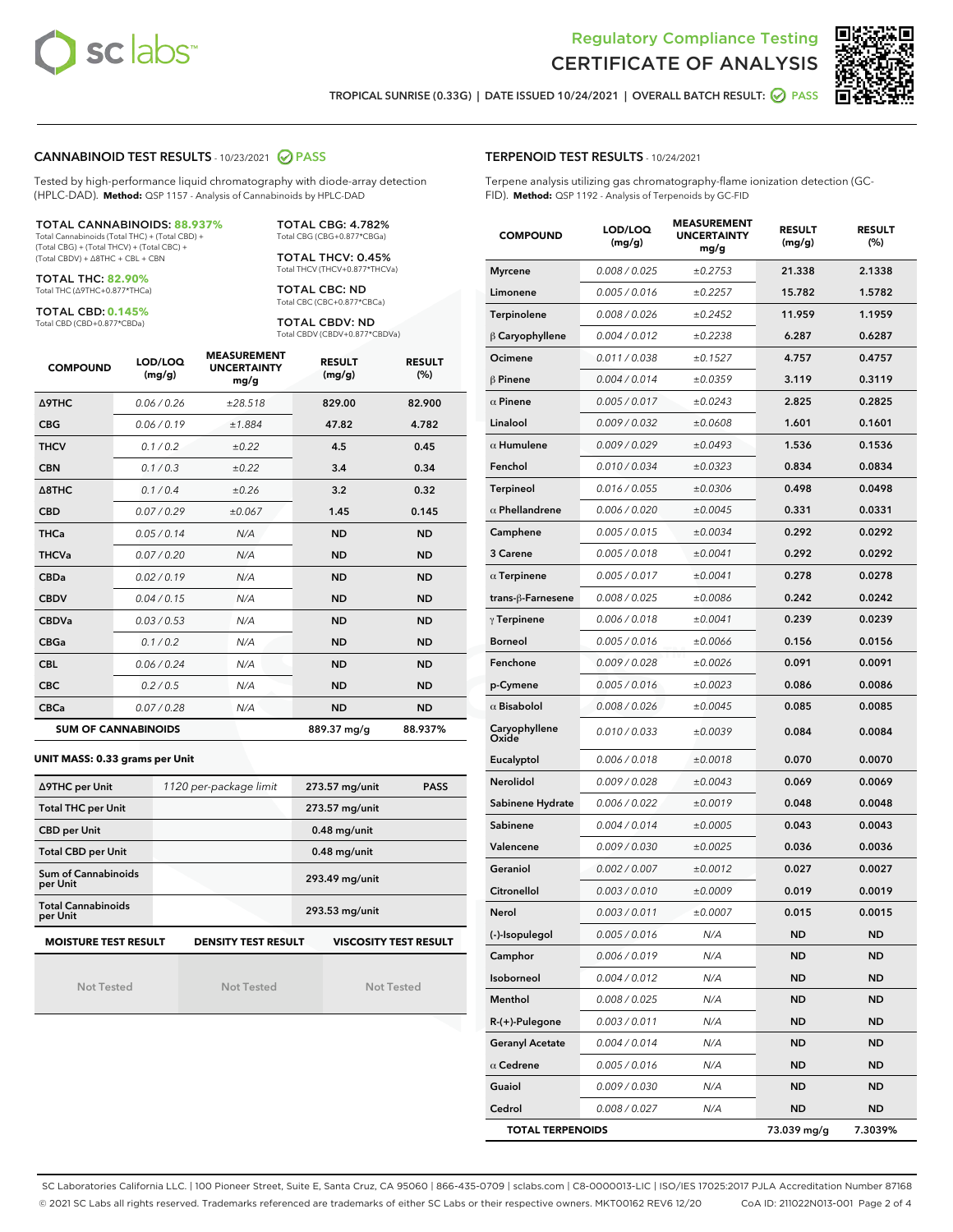



TROPICAL SUNRISE (0.33G) | DATE ISSUED 10/24/2021 | OVERALL BATCH RESULT: **● PASS** 

# CANNABINOID TEST RESULTS - 10/23/2021 2 PASS

Tested by high-performance liquid chromatography with diode-array detection (HPLC-DAD). **Method:** QSP 1157 - Analysis of Cannabinoids by HPLC-DAD

### TOTAL CANNABINOIDS: **88.937%**

Total Cannabinoids (Total THC) + (Total CBD) + (Total CBG) + (Total THCV) + (Total CBC) + (Total CBDV) + ∆8THC + CBL + CBN

TOTAL THC: **82.90%** Total THC (∆9THC+0.877\*THCa)

TOTAL CBD: **0.145%**

Total CBD (CBD+0.877\*CBDa)

TOTAL CBG: 4.782% Total CBG (CBG+0.877\*CBGa)

TOTAL THCV: 0.45% Total THCV (THCV+0.877\*THCVa)

TOTAL CBC: ND Total CBC (CBC+0.877\*CBCa)

TOTAL CBDV: ND Total CBDV (CBDV+0.877\*CBDVa)

| <b>COMPOUND</b>            | LOD/LOQ<br>(mg/g) | <b>MEASUREMENT</b><br><b>UNCERTAINTY</b><br>mg/g | <b>RESULT</b><br>(mg/g) | <b>RESULT</b><br>(%) |
|----------------------------|-------------------|--------------------------------------------------|-------------------------|----------------------|
| <b>A9THC</b>               | 0.06 / 0.26       | ±28.518                                          | 829.00                  | 82.900               |
| <b>CBG</b>                 | 0.06 / 0.19       | ±1.884                                           | 47.82                   | 4.782                |
| <b>THCV</b>                | 0.1 / 0.2         | $\pm 0.22$                                       | 4.5                     | 0.45                 |
| <b>CBN</b>                 | 0.1/0.3           | $\pm 0.22$                                       | 3.4                     | 0.34                 |
| $\triangle$ 8THC           | 0.1/0.4           | ±0.26                                            | 3.2                     | 0.32                 |
| <b>CBD</b>                 | 0.07/0.29         | ±0.067                                           | 1.45                    | 0.145                |
| <b>THCa</b>                | 0.05/0.14         | N/A                                              | <b>ND</b>               | <b>ND</b>            |
| <b>THCVa</b>               | 0.07/0.20         | N/A                                              | <b>ND</b>               | <b>ND</b>            |
| <b>CBDa</b>                | 0.02/0.19         | N/A                                              | <b>ND</b>               | <b>ND</b>            |
| <b>CBDV</b>                | 0.04 / 0.15       | N/A                                              | <b>ND</b>               | <b>ND</b>            |
| <b>CBDVa</b>               | 0.03/0.53         | N/A                                              | <b>ND</b>               | <b>ND</b>            |
| <b>CBGa</b>                | 0.1/0.2           | N/A                                              | <b>ND</b>               | <b>ND</b>            |
| <b>CBL</b>                 | 0.06 / 0.24       | N/A                                              | <b>ND</b>               | <b>ND</b>            |
| <b>CBC</b>                 | 0.2 / 0.5         | N/A                                              | <b>ND</b>               | <b>ND</b>            |
| <b>CBCa</b>                | 0.07/0.28         | N/A                                              | <b>ND</b>               | <b>ND</b>            |
| <b>SUM OF CANNABINOIDS</b> |                   |                                                  | 889.37 mg/g             | 88.937%              |

### **UNIT MASS: 0.33 grams per Unit**

| ∆9THC per Unit                        | 1120 per-package limit     | 273.57 mg/unit<br><b>PASS</b> |
|---------------------------------------|----------------------------|-------------------------------|
| <b>Total THC per Unit</b>             |                            | 273.57 mg/unit                |
| <b>CBD per Unit</b>                   |                            | $0.48$ mg/unit                |
| <b>Total CBD per Unit</b>             |                            | $0.48$ mg/unit                |
| Sum of Cannabinoids<br>per Unit       |                            | 293.49 mg/unit                |
| <b>Total Cannabinoids</b><br>per Unit |                            | 293.53 mg/unit                |
| <b>MOISTURE TEST RESULT</b>           | <b>DENSITY TEST RESULT</b> | <b>VISCOSITY TEST RESULT</b>  |

Not Tested

Not Tested

Not Tested

TERPENOID TEST RESULTS - 10/24/2021

Terpene analysis utilizing gas chromatography-flame ionization detection (GC-FID). **Method:** QSP 1192 - Analysis of Terpenoids by GC-FID

| <b>COMPOUND</b>         | LOD/LOQ<br>(mg/g) | <b>MEASUREMENT</b><br><b>UNCERTAINTY</b><br>mg/g | <b>RESULT</b><br>(mg/g) | <b>RESULT</b><br>$(\%)$ |
|-------------------------|-------------------|--------------------------------------------------|-------------------------|-------------------------|
| <b>Myrcene</b>          | 0.008 / 0.025     | ±0.2753                                          | 21.338                  | 2.1338                  |
| Limonene                | 0.005 / 0.016     | ±0.2257                                          | 15.782                  | 1.5782                  |
| Terpinolene             | 0.008 / 0.026     | ±0.2452                                          | 11.959                  | 1.1959                  |
| $\beta$ Caryophyllene   | 0.004 / 0.012     | ±0.2238                                          | 6.287                   | 0.6287                  |
| Ocimene                 | 0.011 / 0.038     | ±0.1527                                          | 4.757                   | 0.4757                  |
| $\beta$ Pinene          | 0.004 / 0.014     | ±0.0359                                          | 3.119                   | 0.3119                  |
| $\alpha$ Pinene         | 0.005 / 0.017     | ±0.0243                                          | 2.825                   | 0.2825                  |
| Linalool                | 0.009 / 0.032     | ±0.0608                                          | 1.601                   | 0.1601                  |
| $\alpha$ Humulene       | 0.009 / 0.029     | ±0.0493                                          | 1.536                   | 0.1536                  |
| Fenchol                 | 0.010 / 0.034     | ±0.0323                                          | 0.834                   | 0.0834                  |
| Terpineol               | 0.016 / 0.055     | ±0.0306                                          | 0.498                   | 0.0498                  |
| $\alpha$ Phellandrene   | 0.006 / 0.020     | ±0.0045                                          | 0.331                   | 0.0331                  |
| Camphene                | 0.005 / 0.015     | ±0.0034                                          | 0.292                   | 0.0292                  |
| 3 Carene                | 0.005 / 0.018     | ±0.0041                                          | 0.292                   | 0.0292                  |
| $\alpha$ Terpinene      | 0.005 / 0.017     | ±0.0041                                          | 0.278                   | 0.0278                  |
| trans-ß-Farnesene       | 0.008 / 0.025     | ±0.0086                                          | 0.242                   | 0.0242                  |
| $\gamma$ Terpinene      | 0.006 / 0.018     | ±0.0041                                          | 0.239                   | 0.0239                  |
| <b>Borneol</b>          | 0.005 / 0.016     | ±0.0066                                          | 0.156                   | 0.0156                  |
| Fenchone                | 0.009 / 0.028     | ±0.0026                                          | 0.091                   | 0.0091                  |
| p-Cymene                | 0.005 / 0.016     | ±0.0023                                          | 0.086                   | 0.0086                  |
| $\alpha$ Bisabolol      | 0.008 / 0.026     | ±0.0045                                          | 0.085                   | 0.0085                  |
| Caryophyllene<br>Oxide  | 0.010 / 0.033     | ±0.0039                                          | 0.084                   | 0.0084                  |
| Eucalyptol              | 0.006 / 0.018     | ±0.0018                                          | 0.070                   | 0.0070                  |
| Nerolidol               | 0.009 / 0.028     | ±0.0043                                          | 0.069                   | 0.0069                  |
| Sabinene Hydrate        | 0.006 / 0.022     | ±0.0019                                          | 0.048                   | 0.0048                  |
| Sabinene                | 0.004 / 0.014     | ±0.0005                                          | 0.043                   | 0.0043                  |
| Valencene               | 0.009 / 0.030     | ±0.0025                                          | 0.036                   | 0.0036                  |
| Geraniol                | 0.002 / 0.007     | ±0.0012                                          | 0.027                   | 0.0027                  |
| Citronellol             | 0.003 / 0.010     | ±0.0009                                          | 0.019                   | 0.0019                  |
| Nerol                   | 0.003 / 0.011     | ±0.0007                                          | 0.015                   | 0.0015                  |
| (-)-Isopulegol          | 0.005 / 0.016     | N/A                                              | ND                      | ND                      |
| Camphor                 | 0.006 / 0.019     | N/A                                              | ND                      | ND                      |
| Isoborneol              | 0.004 / 0.012     | N/A                                              | ND                      | ND                      |
| Menthol                 | 0.008 / 0.025     | N/A                                              | ND                      | ND                      |
| R-(+)-Pulegone          | 0.003 / 0.011     | N/A                                              | ND                      | ND                      |
| <b>Geranyl Acetate</b>  | 0.004 / 0.014     | N/A                                              | ND                      | ND                      |
| $\alpha$ Cedrene        | 0.005 / 0.016     | N/A                                              | ND                      | ND                      |
| Guaiol                  | 0.009 / 0.030     | N/A                                              | ND                      | ND                      |
| Cedrol                  | 0.008 / 0.027     | N/A                                              | ND                      | ND                      |
| <b>TOTAL TERPENOIDS</b> |                   |                                                  | 73.039 mg/g             | 7.3039%                 |

SC Laboratories California LLC. | 100 Pioneer Street, Suite E, Santa Cruz, CA 95060 | 866-435-0709 | sclabs.com | C8-0000013-LIC | ISO/IES 17025:2017 PJLA Accreditation Number 87168 © 2021 SC Labs all rights reserved. Trademarks referenced are trademarks of either SC Labs or their respective owners. MKT00162 REV6 12/20 CoA ID: 211022N013-001 Page 2 of 4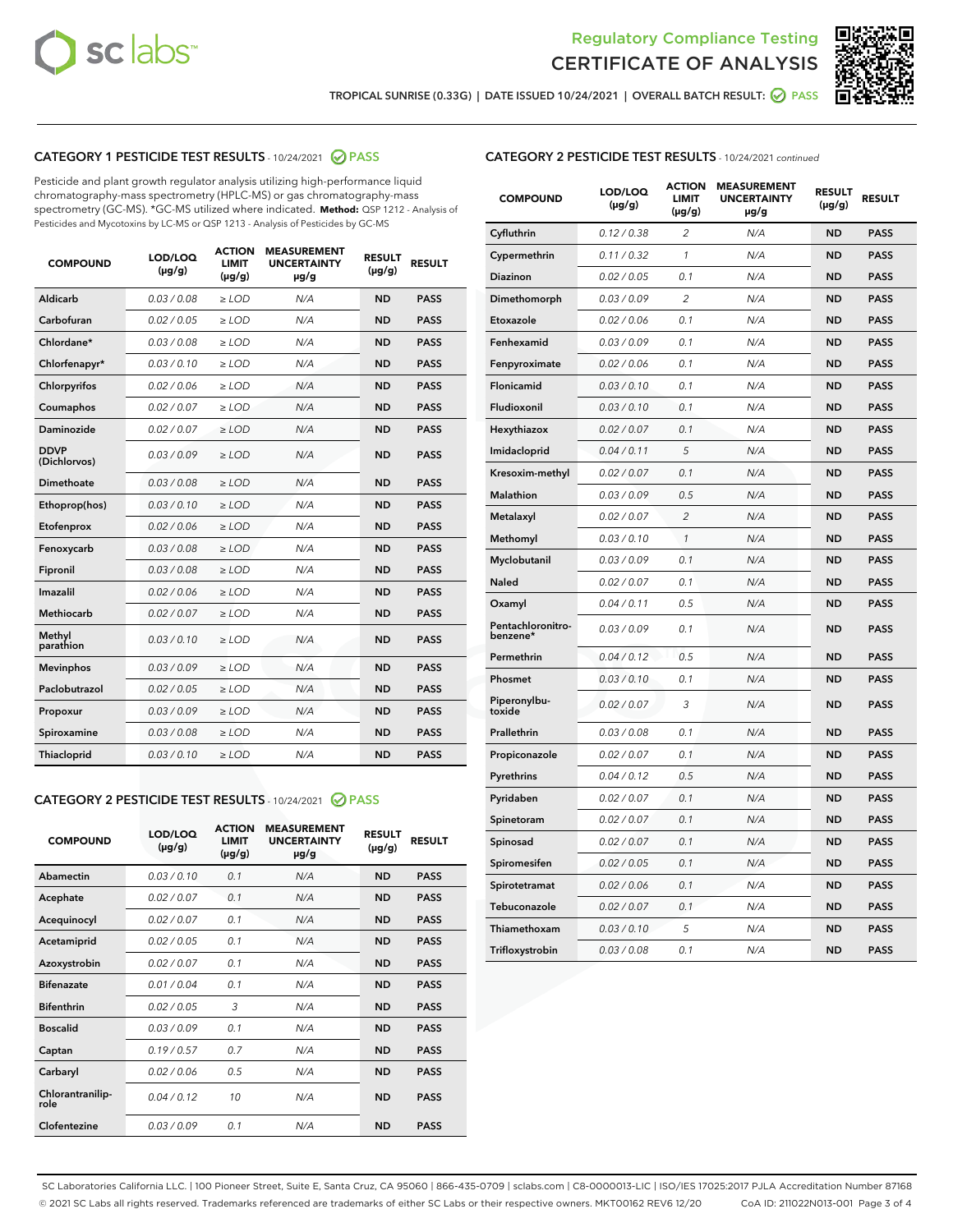



TROPICAL SUNRISE (0.33G) | DATE ISSUED 10/24/2021 | OVERALL BATCH RESULT:  $\bigcirc$  PASS

# CATEGORY 1 PESTICIDE TEST RESULTS - 10/24/2021 @ PASS

Pesticide and plant growth regulator analysis utilizing high-performance liquid chromatography-mass spectrometry (HPLC-MS) or gas chromatography-mass spectrometry (GC-MS). \*GC-MS utilized where indicated. **Method:** QSP 1212 - Analysis of Pesticides and Mycotoxins by LC-MS or QSP 1213 - Analysis of Pesticides by GC-MS

| 0.03/0.08<br><b>ND</b><br>Aldicarb<br>$>$ LOD<br>N/A<br><b>PASS</b><br>Carbofuran<br>0.02 / 0.05<br><b>ND</b><br><b>PASS</b><br>$>$ LOD<br>N/A<br>Chlordane*<br>0.03 / 0.08<br>N/A<br><b>ND</b><br><b>PASS</b><br>$\ge$ LOD<br>Chlorfenapyr*<br>0.03/0.10<br><b>ND</b><br><b>PASS</b><br>$\ge$ LOD<br>N/A<br>N/A<br><b>ND</b><br><b>PASS</b><br>Chlorpyrifos<br>0.02 / 0.06<br>$\ge$ LOD<br>Coumaphos<br>0.02 / 0.07<br>N/A<br><b>ND</b><br><b>PASS</b><br>$\ge$ LOD<br>Daminozide<br>0.02 / 0.07<br>N/A<br><b>ND</b><br><b>PASS</b><br>$\ge$ LOD<br><b>DDVP</b><br>0.03/0.09<br>$>$ LOD<br>N/A<br><b>ND</b><br><b>PASS</b><br>(Dichlorvos)<br>Dimethoate<br>0.03/0.08<br>$>$ LOD<br>N/A<br><b>ND</b><br><b>PASS</b><br>0.03/0.10<br><b>ND</b><br><b>PASS</b><br>Ethoprop(hos)<br>$\ge$ LOD<br>N/A<br>0.02 / 0.06<br>N/A<br><b>ND</b><br><b>PASS</b><br>Etofenprox<br>$\ge$ LOD<br>Fenoxycarb<br>0.03 / 0.08<br>N/A<br><b>ND</b><br><b>PASS</b><br>$\ge$ LOD<br>0.03/0.08<br><b>ND</b><br><b>PASS</b><br>Fipronil<br>$\ge$ LOD<br>N/A<br>Imazalil<br>0.02 / 0.06<br>$\ge$ LOD<br>N/A<br><b>ND</b><br><b>PASS</b><br><b>Methiocarb</b><br>0.02 / 0.07<br><b>PASS</b><br>$\ge$ LOD<br>N/A<br><b>ND</b><br>Methyl<br>0.03/0.10<br>$\ge$ LOD<br>N/A<br><b>ND</b><br><b>PASS</b><br>parathion<br>0.03/0.09<br><b>ND</b><br><b>Mevinphos</b><br>$\ge$ LOD<br>N/A<br><b>PASS</b><br>Paclobutrazol<br>0.02 / 0.05<br>$\ge$ LOD<br>N/A<br><b>ND</b><br><b>PASS</b><br>0.03/0.09<br>$\ge$ LOD<br>N/A<br><b>ND</b><br><b>PASS</b><br>Propoxur<br>Spiroxamine<br>0.03 / 0.08<br>$\ge$ LOD<br>N/A<br><b>ND</b><br><b>PASS</b><br>0.03/0.10<br><b>ND</b><br><b>PASS</b><br><b>Thiacloprid</b><br>$\ge$ LOD<br>N/A | <b>COMPOUND</b> | LOD/LOQ<br>$(\mu g/g)$ | <b>ACTION</b><br>LIMIT<br>$(\mu g/g)$ | <b>MEASUREMENT</b><br><b>UNCERTAINTY</b><br>$\mu$ g/g | <b>RESULT</b><br>$(\mu g/g)$ | <b>RESULT</b> |
|-----------------------------------------------------------------------------------------------------------------------------------------------------------------------------------------------------------------------------------------------------------------------------------------------------------------------------------------------------------------------------------------------------------------------------------------------------------------------------------------------------------------------------------------------------------------------------------------------------------------------------------------------------------------------------------------------------------------------------------------------------------------------------------------------------------------------------------------------------------------------------------------------------------------------------------------------------------------------------------------------------------------------------------------------------------------------------------------------------------------------------------------------------------------------------------------------------------------------------------------------------------------------------------------------------------------------------------------------------------------------------------------------------------------------------------------------------------------------------------------------------------------------------------------------------------------------------------------------------------------------------------------------------------------------------------------------------|-----------------|------------------------|---------------------------------------|-------------------------------------------------------|------------------------------|---------------|
|                                                                                                                                                                                                                                                                                                                                                                                                                                                                                                                                                                                                                                                                                                                                                                                                                                                                                                                                                                                                                                                                                                                                                                                                                                                                                                                                                                                                                                                                                                                                                                                                                                                                                                     |                 |                        |                                       |                                                       |                              |               |
|                                                                                                                                                                                                                                                                                                                                                                                                                                                                                                                                                                                                                                                                                                                                                                                                                                                                                                                                                                                                                                                                                                                                                                                                                                                                                                                                                                                                                                                                                                                                                                                                                                                                                                     |                 |                        |                                       |                                                       |                              |               |
|                                                                                                                                                                                                                                                                                                                                                                                                                                                                                                                                                                                                                                                                                                                                                                                                                                                                                                                                                                                                                                                                                                                                                                                                                                                                                                                                                                                                                                                                                                                                                                                                                                                                                                     |                 |                        |                                       |                                                       |                              |               |
|                                                                                                                                                                                                                                                                                                                                                                                                                                                                                                                                                                                                                                                                                                                                                                                                                                                                                                                                                                                                                                                                                                                                                                                                                                                                                                                                                                                                                                                                                                                                                                                                                                                                                                     |                 |                        |                                       |                                                       |                              |               |
|                                                                                                                                                                                                                                                                                                                                                                                                                                                                                                                                                                                                                                                                                                                                                                                                                                                                                                                                                                                                                                                                                                                                                                                                                                                                                                                                                                                                                                                                                                                                                                                                                                                                                                     |                 |                        |                                       |                                                       |                              |               |
|                                                                                                                                                                                                                                                                                                                                                                                                                                                                                                                                                                                                                                                                                                                                                                                                                                                                                                                                                                                                                                                                                                                                                                                                                                                                                                                                                                                                                                                                                                                                                                                                                                                                                                     |                 |                        |                                       |                                                       |                              |               |
|                                                                                                                                                                                                                                                                                                                                                                                                                                                                                                                                                                                                                                                                                                                                                                                                                                                                                                                                                                                                                                                                                                                                                                                                                                                                                                                                                                                                                                                                                                                                                                                                                                                                                                     |                 |                        |                                       |                                                       |                              |               |
|                                                                                                                                                                                                                                                                                                                                                                                                                                                                                                                                                                                                                                                                                                                                                                                                                                                                                                                                                                                                                                                                                                                                                                                                                                                                                                                                                                                                                                                                                                                                                                                                                                                                                                     |                 |                        |                                       |                                                       |                              |               |
|                                                                                                                                                                                                                                                                                                                                                                                                                                                                                                                                                                                                                                                                                                                                                                                                                                                                                                                                                                                                                                                                                                                                                                                                                                                                                                                                                                                                                                                                                                                                                                                                                                                                                                     |                 |                        |                                       |                                                       |                              |               |
|                                                                                                                                                                                                                                                                                                                                                                                                                                                                                                                                                                                                                                                                                                                                                                                                                                                                                                                                                                                                                                                                                                                                                                                                                                                                                                                                                                                                                                                                                                                                                                                                                                                                                                     |                 |                        |                                       |                                                       |                              |               |
|                                                                                                                                                                                                                                                                                                                                                                                                                                                                                                                                                                                                                                                                                                                                                                                                                                                                                                                                                                                                                                                                                                                                                                                                                                                                                                                                                                                                                                                                                                                                                                                                                                                                                                     |                 |                        |                                       |                                                       |                              |               |
|                                                                                                                                                                                                                                                                                                                                                                                                                                                                                                                                                                                                                                                                                                                                                                                                                                                                                                                                                                                                                                                                                                                                                                                                                                                                                                                                                                                                                                                                                                                                                                                                                                                                                                     |                 |                        |                                       |                                                       |                              |               |
|                                                                                                                                                                                                                                                                                                                                                                                                                                                                                                                                                                                                                                                                                                                                                                                                                                                                                                                                                                                                                                                                                                                                                                                                                                                                                                                                                                                                                                                                                                                                                                                                                                                                                                     |                 |                        |                                       |                                                       |                              |               |
|                                                                                                                                                                                                                                                                                                                                                                                                                                                                                                                                                                                                                                                                                                                                                                                                                                                                                                                                                                                                                                                                                                                                                                                                                                                                                                                                                                                                                                                                                                                                                                                                                                                                                                     |                 |                        |                                       |                                                       |                              |               |
|                                                                                                                                                                                                                                                                                                                                                                                                                                                                                                                                                                                                                                                                                                                                                                                                                                                                                                                                                                                                                                                                                                                                                                                                                                                                                                                                                                                                                                                                                                                                                                                                                                                                                                     |                 |                        |                                       |                                                       |                              |               |
|                                                                                                                                                                                                                                                                                                                                                                                                                                                                                                                                                                                                                                                                                                                                                                                                                                                                                                                                                                                                                                                                                                                                                                                                                                                                                                                                                                                                                                                                                                                                                                                                                                                                                                     |                 |                        |                                       |                                                       |                              |               |
|                                                                                                                                                                                                                                                                                                                                                                                                                                                                                                                                                                                                                                                                                                                                                                                                                                                                                                                                                                                                                                                                                                                                                                                                                                                                                                                                                                                                                                                                                                                                                                                                                                                                                                     |                 |                        |                                       |                                                       |                              |               |
|                                                                                                                                                                                                                                                                                                                                                                                                                                                                                                                                                                                                                                                                                                                                                                                                                                                                                                                                                                                                                                                                                                                                                                                                                                                                                                                                                                                                                                                                                                                                                                                                                                                                                                     |                 |                        |                                       |                                                       |                              |               |
|                                                                                                                                                                                                                                                                                                                                                                                                                                                                                                                                                                                                                                                                                                                                                                                                                                                                                                                                                                                                                                                                                                                                                                                                                                                                                                                                                                                                                                                                                                                                                                                                                                                                                                     |                 |                        |                                       |                                                       |                              |               |
|                                                                                                                                                                                                                                                                                                                                                                                                                                                                                                                                                                                                                                                                                                                                                                                                                                                                                                                                                                                                                                                                                                                                                                                                                                                                                                                                                                                                                                                                                                                                                                                                                                                                                                     |                 |                        |                                       |                                                       |                              |               |
|                                                                                                                                                                                                                                                                                                                                                                                                                                                                                                                                                                                                                                                                                                                                                                                                                                                                                                                                                                                                                                                                                                                                                                                                                                                                                                                                                                                                                                                                                                                                                                                                                                                                                                     |                 |                        |                                       |                                                       |                              |               |

# CATEGORY 2 PESTICIDE TEST RESULTS - 10/24/2021 @ PASS

| <b>COMPOUND</b>          | LOD/LOQ<br>$(\mu g/g)$ | <b>ACTION</b><br>LIMIT<br>$(\mu g/g)$ | <b>MEASUREMENT</b><br><b>UNCERTAINTY</b><br>$\mu$ g/g | <b>RESULT</b><br>$(\mu g/g)$ | <b>RESULT</b> |
|--------------------------|------------------------|---------------------------------------|-------------------------------------------------------|------------------------------|---------------|
| Abamectin                | 0.03/0.10              | 0.1                                   | N/A                                                   | <b>ND</b>                    | <b>PASS</b>   |
| Acephate                 | 0.02/0.07              | 0.1                                   | N/A                                                   | <b>ND</b>                    | <b>PASS</b>   |
| Acequinocyl              | 0.02/0.07              | 0.1                                   | N/A                                                   | <b>ND</b>                    | <b>PASS</b>   |
| Acetamiprid              | 0.02 / 0.05            | 0.1                                   | N/A                                                   | <b>ND</b>                    | <b>PASS</b>   |
| Azoxystrobin             | 0.02/0.07              | 0.1                                   | N/A                                                   | <b>ND</b>                    | <b>PASS</b>   |
| <b>Bifenazate</b>        | 0.01/0.04              | 0.1                                   | N/A                                                   | <b>ND</b>                    | <b>PASS</b>   |
| <b>Bifenthrin</b>        | 0.02 / 0.05            | 3                                     | N/A                                                   | <b>ND</b>                    | <b>PASS</b>   |
| <b>Boscalid</b>          | 0.03/0.09              | 0.1                                   | N/A                                                   | <b>ND</b>                    | <b>PASS</b>   |
| Captan                   | 0.19/0.57              | 0.7                                   | N/A                                                   | <b>ND</b>                    | <b>PASS</b>   |
| Carbaryl                 | 0.02/0.06              | 0.5                                   | N/A                                                   | <b>ND</b>                    | <b>PASS</b>   |
| Chlorantranilip-<br>role | 0.04/0.12              | 10                                    | N/A                                                   | <b>ND</b>                    | <b>PASS</b>   |
| Clofentezine             | 0.03/0.09              | 0.1                                   | N/A                                                   | <b>ND</b>                    | <b>PASS</b>   |

# CATEGORY 2 PESTICIDE TEST RESULTS - 10/24/2021 continued

| <b>COMPOUND</b>               | LOD/LOQ<br>(µg/g) | <b>ACTION</b><br><b>LIMIT</b><br>$(\mu g/g)$ | <b>MEASUREMENT</b><br><b>UNCERTAINTY</b><br>µg/g | <b>RESULT</b><br>(µg/g) | <b>RESULT</b> |
|-------------------------------|-------------------|----------------------------------------------|--------------------------------------------------|-------------------------|---------------|
| Cyfluthrin                    | 0.12 / 0.38       | $\overline{c}$                               | N/A                                              | ND                      | <b>PASS</b>   |
| Cypermethrin                  | 0.11 / 0.32       | $\mathcal{I}$                                | N/A                                              | ND                      | <b>PASS</b>   |
| <b>Diazinon</b>               | 0.02 / 0.05       | 0.1                                          | N/A                                              | <b>ND</b>               | <b>PASS</b>   |
| Dimethomorph                  | 0.03 / 0.09       | 2                                            | N/A                                              | ND                      | <b>PASS</b>   |
| Etoxazole                     | 0.02 / 0.06       | 0.1                                          | N/A                                              | ND                      | <b>PASS</b>   |
| Fenhexamid                    | 0.03 / 0.09       | 0.1                                          | N/A                                              | ND                      | <b>PASS</b>   |
| Fenpyroximate                 | 0.02 / 0.06       | 0.1                                          | N/A                                              | <b>ND</b>               | <b>PASS</b>   |
| Flonicamid                    | 0.03 / 0.10       | 0.1                                          | N/A                                              | ND                      | <b>PASS</b>   |
| Fludioxonil                   | 0.03 / 0.10       | 0.1                                          | N/A                                              | ND                      | <b>PASS</b>   |
| Hexythiazox                   | 0.02 / 0.07       | 0.1                                          | N/A                                              | ND                      | <b>PASS</b>   |
| Imidacloprid                  | 0.04 / 0.11       | 5                                            | N/A                                              | ND                      | <b>PASS</b>   |
| Kresoxim-methyl               | 0.02 / 0.07       | 0.1                                          | N/A                                              | ND                      | <b>PASS</b>   |
| Malathion                     | 0.03 / 0.09       | 0.5                                          | N/A                                              | ND                      | <b>PASS</b>   |
| Metalaxyl                     | 0.02 / 0.07       | $\overline{c}$                               | N/A                                              | ND                      | <b>PASS</b>   |
| Methomyl                      | 0.03 / 0.10       | $\mathbf{1}$                                 | N/A                                              | ND                      | <b>PASS</b>   |
| Myclobutanil                  | 0.03 / 0.09       | 0.1                                          | N/A                                              | <b>ND</b>               | <b>PASS</b>   |
| Naled                         | 0.02 / 0.07       | 0.1                                          | N/A                                              | ND                      | <b>PASS</b>   |
| Oxamyl                        | 0.04 / 0.11       | 0.5                                          | N/A                                              | ND                      | PASS          |
| Pentachloronitro-<br>benzene* | 0.03 / 0.09       | 0.1                                          | N/A                                              | ND                      | <b>PASS</b>   |
| Permethrin                    | 0.04 / 0.12       | 0.5                                          | N/A                                              | ND                      | <b>PASS</b>   |
| Phosmet                       | 0.03 / 0.10       | 0.1                                          | N/A                                              | ND                      | <b>PASS</b>   |
| Piperonylbu-<br>toxide        | 0.02 / 0.07       | 3                                            | N/A                                              | <b>ND</b>               | <b>PASS</b>   |
| Prallethrin                   | 0.03 / 0.08       | 0.1                                          | N/A                                              | ND                      | <b>PASS</b>   |
| Propiconazole                 | 0.02 / 0.07       | 0.1                                          | N/A                                              | <b>ND</b>               | <b>PASS</b>   |
| Pyrethrins                    | 0.04 / 0.12       | 0.5                                          | N/A                                              | ND                      | <b>PASS</b>   |
| Pyridaben                     | 0.02 / 0.07       | 0.1                                          | N/A                                              | <b>ND</b>               | <b>PASS</b>   |
| Spinetoram                    | 0.02 / 0.07       | 0.1                                          | N/A                                              | ND                      | <b>PASS</b>   |
| Spinosad                      | 0.02 / 0.07       | 0.1                                          | N/A                                              | ND                      | <b>PASS</b>   |
| Spiromesifen                  | 0.02 / 0.05       | 0.1                                          | N/A                                              | <b>ND</b>               | <b>PASS</b>   |
| Spirotetramat                 | 0.02 / 0.06       | 0.1                                          | N/A                                              | ND                      | <b>PASS</b>   |
| Tebuconazole                  | 0.02 / 0.07       | 0.1                                          | N/A                                              | ND                      | <b>PASS</b>   |
| Thiamethoxam                  | 0.03 / 0.10       | 5                                            | N/A                                              | <b>ND</b>               | <b>PASS</b>   |
| Trifloxystrobin               | 0.03 / 0.08       | 0.1                                          | N/A                                              | <b>ND</b>               | <b>PASS</b>   |

SC Laboratories California LLC. | 100 Pioneer Street, Suite E, Santa Cruz, CA 95060 | 866-435-0709 | sclabs.com | C8-0000013-LIC | ISO/IES 17025:2017 PJLA Accreditation Number 87168 © 2021 SC Labs all rights reserved. Trademarks referenced are trademarks of either SC Labs or their respective owners. MKT00162 REV6 12/20 CoA ID: 211022N013-001 Page 3 of 4